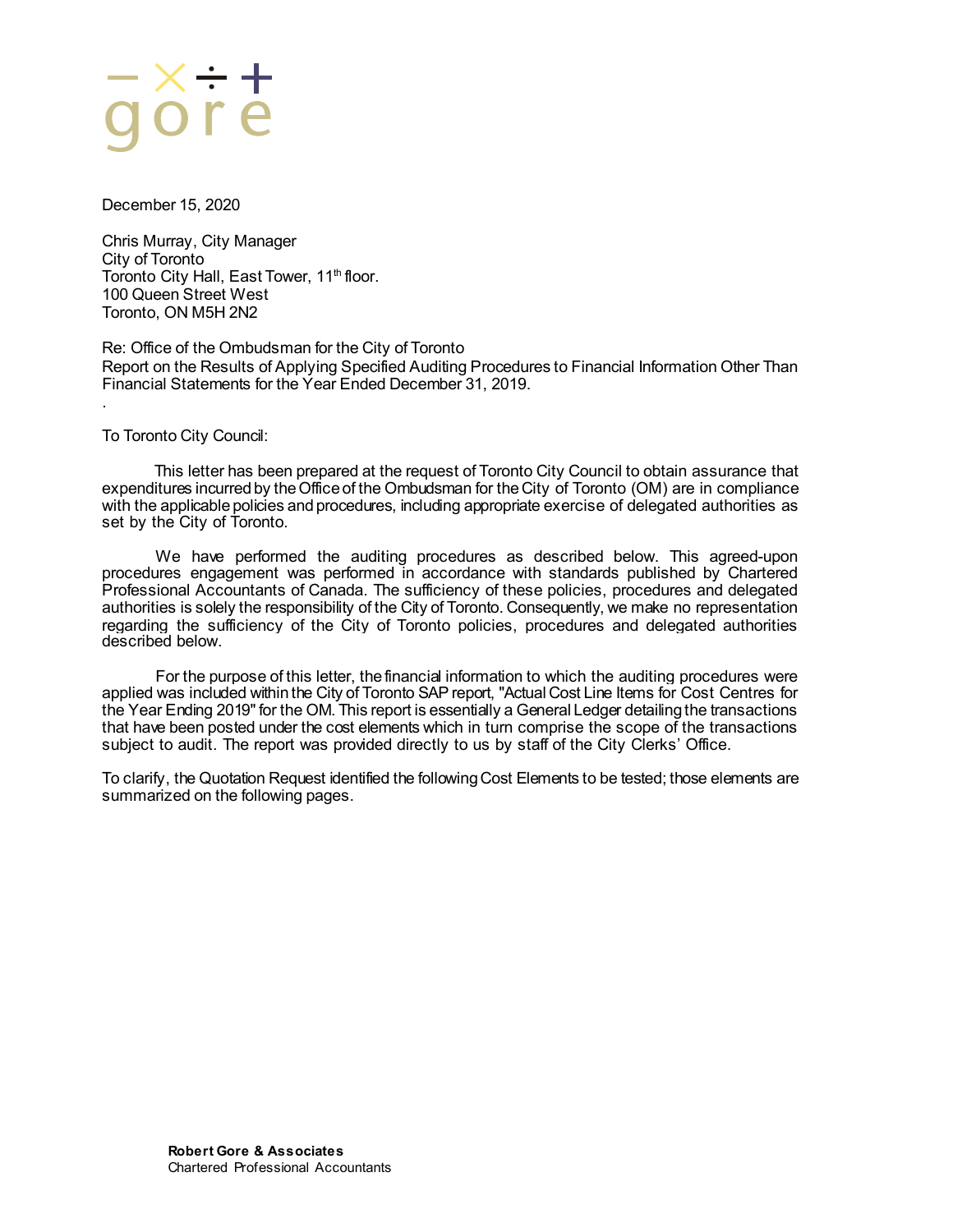December 15, 2020

Chris Murray, City Manager City of Toronto Toronto City Hall, East Tower, 11<sup>th</sup> floor. 100 Queen Street West Toronto, ON M5H 2N2

Re: Office of the Ombudsman for the City of Toronto Report on the Results of Applying Specified Auditing Procedures to Financial Information Other Than Financial Statements for the Year Ended December 31, 2019.

To Toronto City Council:

.

This letter has been prepared at the request of Toronto City Council to obtain assurance that expenditures incurred by the Office of the Ombudsman for the City of Toronto (OM) are in compliance with the applicable policies and procedures, including appropriate exercise of delegated authorities as set by the City of Toronto.

We have performed the auditing procedures as described below. This agreed-upon procedures engagement was performed in accordance with standards published by Chartered Professional Accountants of Canada. The sufficiency of these policies, procedures and delegated authorities is solely the responsibility of the City of Toronto. Consequently, we make no representation regarding the sufficiency of the City of Toronto policies, procedures and delegated authorities described below.

For the purpose of this letter, the financial information to which the auditing procedures were applied was included within the City of Toronto SAP report, "Actual Cost Line Items for Cost Centres for the Year Ending 2019" for the OM. This report is essentially a General Ledger detailing the transactions that have been posted under the cost elements which in turn comprise the scope of the transactions subject to audit. The report was provided directly to us by staff of the City Clerks' Office.

To clarify, the Quotation Request identified the following Cost Elements to be tested; those elements are summarized on the following pages.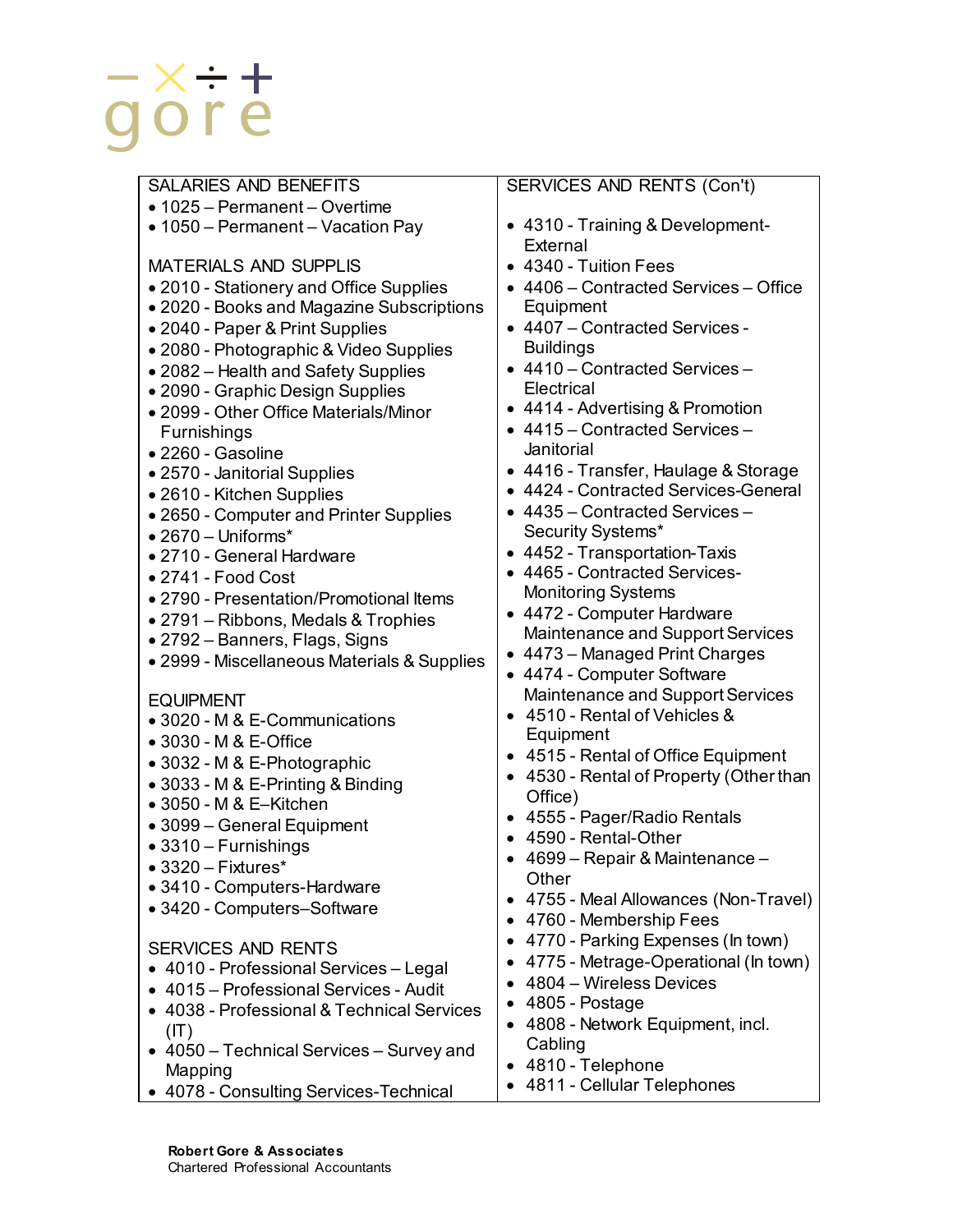- 1025 Permanent Overtime
- 1050 Permanent Vacation Pay

MATERIALS AND SUPPLIS

- 2010 Stationery and Office Supplies
- 2020 Books and Magazine Subscriptions
- 2040 Paper & Print Supplies
- 2080 Photographic & Video Supplies
- 2082 Health and Safety Supplies
- 2090 Graphic Design Supplies
- 2099 Other Office Materials/Minor Furnishings
- 2260 Gasoline
- 2570 Janitorial Supplies
- 2610 Kitchen Supplies
- 2650 Computer and Printer Supplies
- 2670 Uniforms\*
- 2710 General Hardware
- 2741 Food Cost
- 2790 Presentation/Promotional Items
- 2791 Ribbons, Medals & Trophies
- 2792 Banners, Flags, Signs
- 2999 Miscellaneous Materials & Supplies
- EQUIPMENT
- 3020 M & E-Communications
- 3030 M & E-Office
- 3032 M & E-Photographic
- 3033 M & E-Printing & Binding
- 3050 M & E–Kitchen
- 3099 General Equipment
- 3310 Furnishings
- 3320 Fixtures\*
- 3410 Computers-Hardware
- 3420 Computers–Software

# SERVICES AND RENTS

- 4010 Professional Services Legal
- 4015 Professional Services Audit
- 4038 Professional & Technical Services  $(IT)$
- 4050 Technical Services Survey and Mapping
- 4078 Consulting Services-Technical

# SERVICES AND RENTS (Con't)

- 4310 Training & Development-**External**
- 4340 Tuition Fees
- 4406 Contracted Services Office Equipment
- 4407 Contracted Services **Buildings**
- 4410 Contracted Services **Electrical**
- 4414 Advertising & Promotion
- 4415 Contracted Services Janitorial
- 4416 Transfer, Haulage & Storage
- 4424 Contracted Services-General
- 4435 Contracted Services Security Systems\*
- 4452 Transportation-Taxis
- 4465 Contracted Services-Monitoring Systems
- 4472 Computer Hardware Maintenance and Support Services
- 4473 Managed Print Charges
- 4474 Computer Software Maintenance and Support Services
- 4510 Rental of Vehicles & Equipment
- 4515 Rental of Office Equipment
- 4530 Rental of Property (Other than Office)
- 4555 Pager/Radio Rentals
- 4590 Rental-Other
- 4699 Repair & Maintenance **Other**
- 4755 Meal Allowances (Non-Travel)
- 4760 Membership Fees
- 4770 Parking Expenses (In town)
- 4775 Metrage-Operational (In town)
- 4804 Wireless Devices
- 4805 Postage
- 4808 Network Equipment, incl. **Cabling**
- 4810 Telephone
- 4811 Cellular Telephones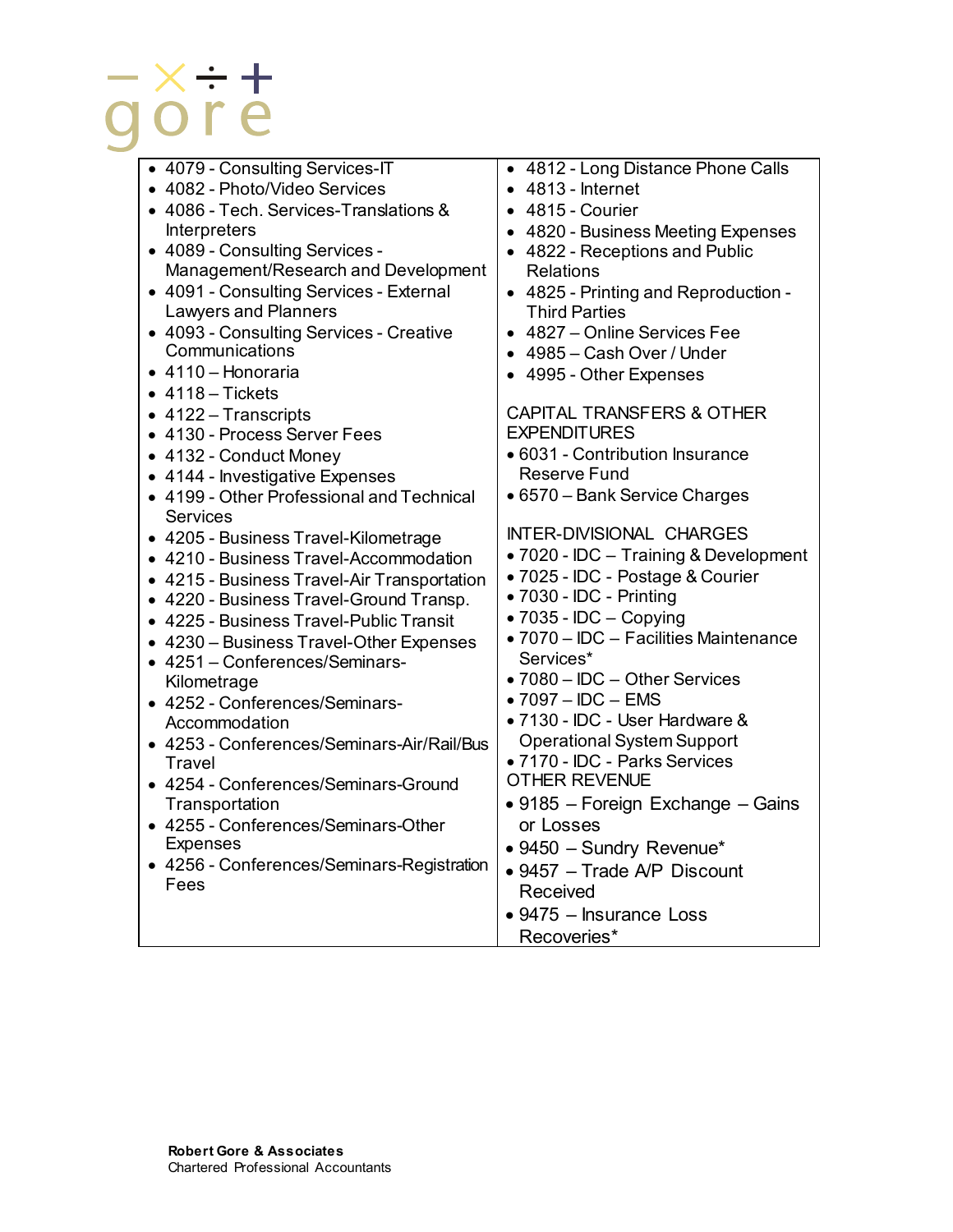• 4079 - Consulting Services-IT • 4082 - Photo/Video Services • 4086 - Tech. Services-Translations & Interpreters • 4089 - Consulting Services - Management/Research and Development • 4091 - Consulting Services - External Lawyers and Planners • 4093 - Consulting Services - Creative **Communications** • 4110 – Honoraria  $• 4118 - Tickets$ • 4122 – Transcripts • 4130 - Process Server Fees • 4132 - Conduct Money • 4144 - Investigative Expenses • 4199 - Other Professional and Technical **Services** • 4205 - Business Travel-Kilometrage • 4210 - Business Travel-Accommodation • 4215 - Business Travel-Air Transportation • 4220 - Business Travel-Ground Transp. • 4225 - Business Travel-Public Transit • 4230 – Business Travel-Other Expenses • 4251 – Conferences/Seminars-Kilometrage • 4252 - Conferences/Seminars-Accommodation • 4253 - Conferences/Seminars-Air/Rail/Bus **Travel** • 4254 - Conferences/Seminars-Ground **Transportation** • 4255 - Conferences/Seminars-Other Expenses • 4256 - Conferences/Seminars-Registration Fees • 4812 - Long Distance Phone Calls • 4813 - Internet • 4815 - Courier • 4820 - Business Meeting Expenses • 4822 - Receptions and Public Relations • 4825 - Printing and Reproduction - Third Parties • 4827 – Online Services Fee • 4985 – Cash Over / Under • 4995 - Other Expenses CAPITAL TRANSFERS & OTHER **EXPENDITURES** • 6031 - Contribution Insurance Reserve Fund • 6570 – Bank Service Charges INTER-DIVISIONAL CHARGES • 7020 - IDC – Training & Development • 7025 - IDC - Postage & Courier • 7030 - IDC - Printing • 7035 - IDC – Copying • 7070 – IDC – Facilities Maintenance Services\* • 7080 – IDC – Other Services • 7097 – IDC – EMS • 7130 - IDC - User Hardware & Operational System Support • 7170 - IDC - Parks Services OTHER REVENUE • 9185 – Foreign Exchange – Gains or Losses • 9450 – Sundry Revenue\* • 9457 – Trade A/P Discount Received • 9475 – Insurance Loss Recoveries\*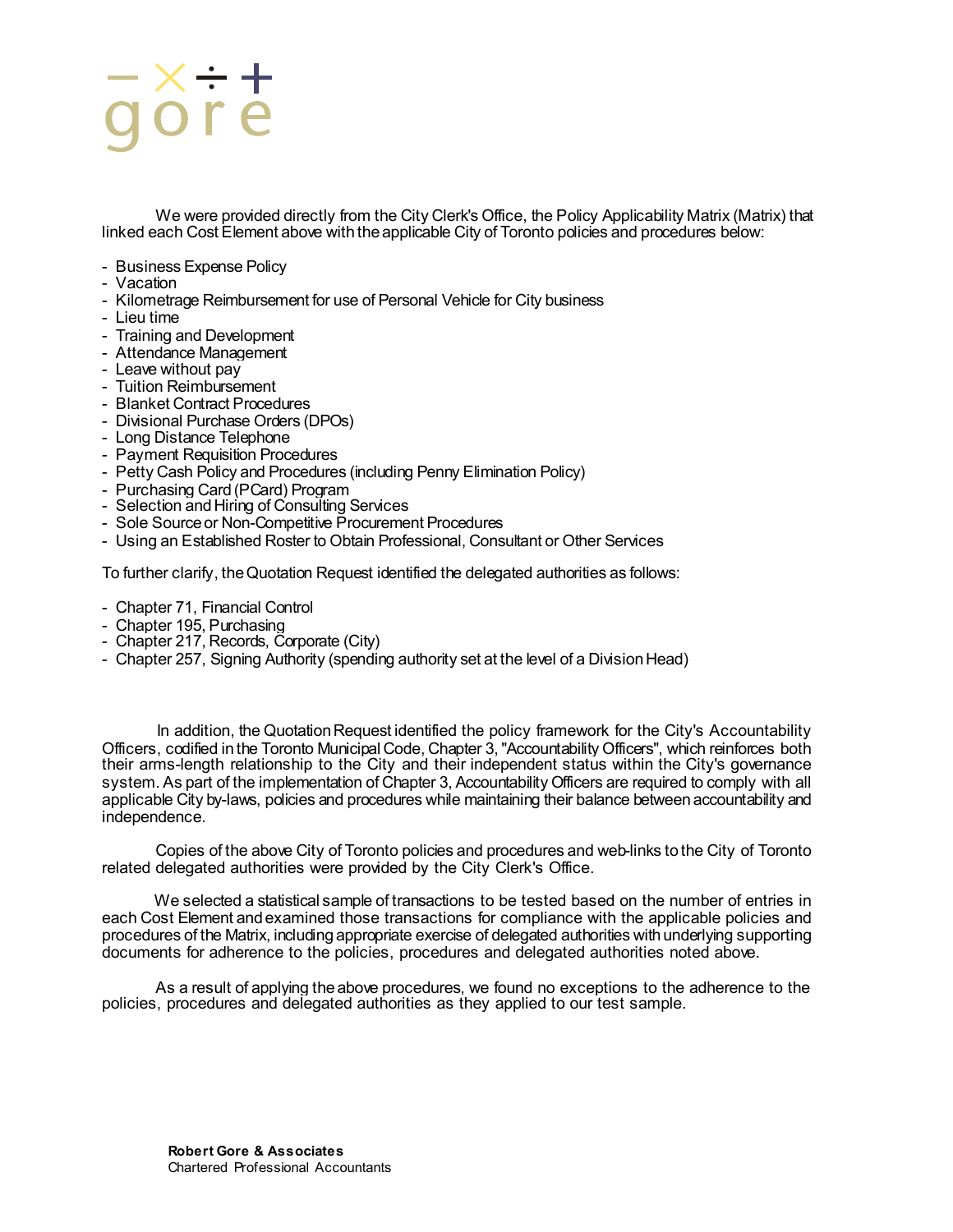# x <del>.</del><br>ore

We were provided directly from the City Clerk's Office, the Policy Applicability Matrix (Matrix) that linked each Cost Element above with the applicable City of Toronto policies and procedures below:

- Business Expense Policy
- Vacation
- Kilometrage Reimbursement for use of Personal Vehicle for City business
- Lieu time
- Training and Development
- Attendance Management Leave without pay
- 
- Tuition Reimbursement
- Blanket Contract Procedures
- Divisional Purchase Orders (DPOs)
- Long Distance Telephone
- Payment Requisition Procedures
- Petty Cash Policy and Procedures (including Penny Elimination Policy)
- Purchasing Card (PCard) Program
- Selection and Hiring of Consulting Services
- Sole Source or Non-Competitive Procurement Procedures
- Using an Established Roster to Obtain Professional, Consultant or Other Services

To further clarify, the Quotation Request identified the delegated authorities as follows:

- Chapter 71, Financial Control
- Chapter 195, Purchasing
- Chapter 217, Records, Corporate (City)
- Chapter 257, Signing Authority (spending authority set at the level of a Division Head)

In addition, the Quotation Request identified the policy framework for the City's Accountability Officers, codified in the Toronto Municipal Code, Chapter 3, "Accountability Officers", which reinforces both their arms-length relationship to the City and their independent status within the City's governance system. As part of the implementation of Chapter 3, Accountability Officers are required to comply with all applicable City by-laws, policies and procedures while maintaining their balance between accountability and independence.

Copies of the above City of Toronto policies and procedures and web-links to the City of Toronto related delegated authorities were provided by the City Clerk's Office.

We selected a statistical sample of transactions to be tested based on the number of entries in each Cost Element and examined those transactions for compliance with the applicable policies and procedures of the Matrix, including appropriate exercise of delegated authorities with underlying supporting documents for adherence to the policies, procedures and delegated authorities noted above.

As a result of applying the above procedures, we found no exceptions to the adherence to the policies, procedures and delegated authorities as they applied to our test sample.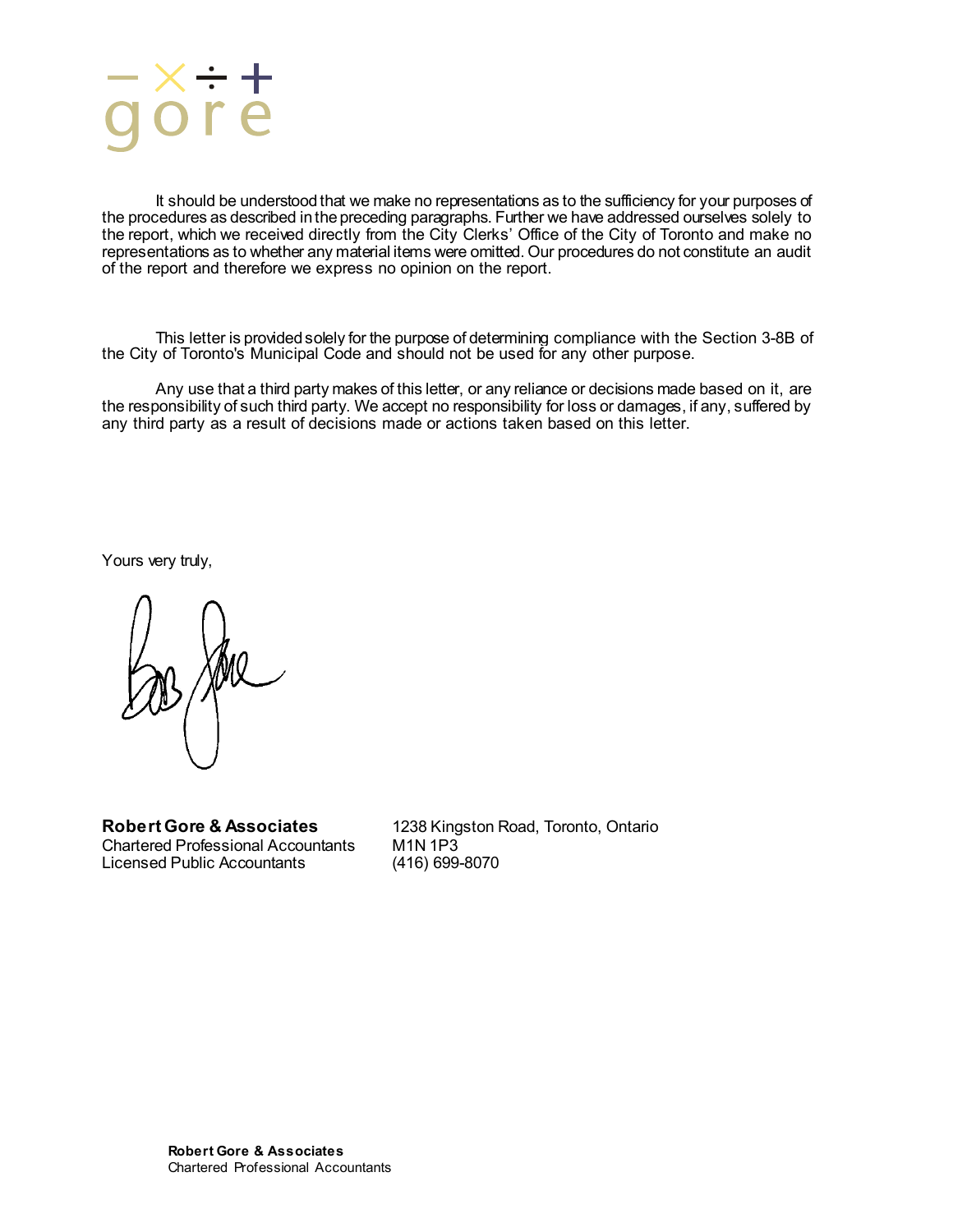

It should be understood that we make no representations as to the sufficiency for your purposes of the procedures as described in the preceding paragraphs. Further we have addressed ourselves solely to the report, which we received directly from the City Clerks' Office of the City of Toronto and make no representations as to whether any material items were omitted. Our procedures do not constitute an audit of the report and therefore we express no opinion on the report.

This letter is provided solely for the purpose of determining compliance with the Section 3-8B of the City of Toronto's Municipal Code and should not be used for any other purpose.

Any use that a third party makes of this letter, or any reliance or decisions made based on it, are the responsibility of such third party. We accept no responsibility for loss or damages, if any, suffered by any third party as a result of decisions made or actions taken based on this letter.

Yours very truly,

Chartered Professional Accountants M1N 1P3<br>Licensed Public Accountants (416) 699-8070 Licensed Public Accountants

**Robert Gore & Associates** 1238 Kingston Road, Toronto, Ontario Chartered Professional Accountants M1N 1P3